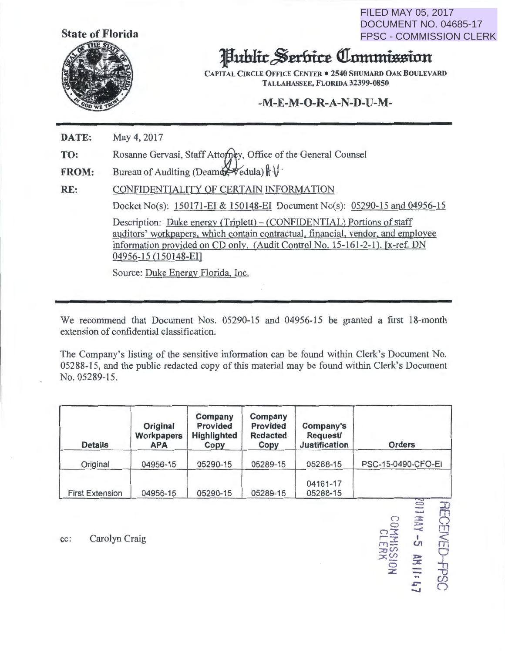**FILED MAY 05, 2017** DOCUMENT NO. 04685-17 **FPSC - COMMISSION CLERK** 

**JECEIVED-FPSC<br>ITHAY -5 AN II: 47<br>COMMISSION** 



## **Hublic Serbice Commission**

**CAPITAL CIRCLE OFFICE CENTER . 2540 SHUMARD OAK BOULEVARD** TALLAHASSEE, FLORIDA 32399-0850

## $-M-E-M-O-R-A-N-D-U-M-$

DATE: May 4, 2017

Rosanne Gervasi, Staff Attorney, Office of the General Counsel TO:

Bureau of Auditing (Deamartedula)  $\|\cdot\|$ . **FROM:** 

CONFIDENTIALITY OF CERTAIN INFORMATION RE:

Docket No(s): 150171-EI & 150148-EI Document No(s): 05290-15 and 04956-15

Description: Duke energy (Triplett) – (CONFIDENTIAL) Portions of staff auditors' workpapers, which contain contractual, financial, vendor, and employee information provided on CD only. (Audit Control No. 15-161-2-1). [x-ref. DN 04956-15 (150148-EI)

Source: Duke Energy Florida, Inc.

We recommend that Document Nos. 05290-15 and 04956-15 be granted a first 18-month extension of confidential classification.

The Company's listing of the sensitive information can be found within Clerk's Document No. 05288-15, and the public redacted copy of this material may be found within Clerk's Document No. 05289-15.

| <b>Details</b>         | Original<br><b>Workpapers</b><br><b>APA</b> | Company<br><b>Provided</b><br>Highlighted<br>Copy | Company<br>Provided<br><b>Redacted</b><br>Copy | Company's<br><b>Request/</b><br><b>Justification</b> | <b>Orders</b>      |
|------------------------|---------------------------------------------|---------------------------------------------------|------------------------------------------------|------------------------------------------------------|--------------------|
| Original               | 04956-15                                    | 05290-15                                          | 05289-15                                       | 05288-15                                             | PSC-15-0490-CFO-EI |
| <b>First Extension</b> | 04956-15                                    | 05290-15                                          | 05289-15                                       | 04161-17<br>05288-15                                 |                    |

Carolyn Craig cc: